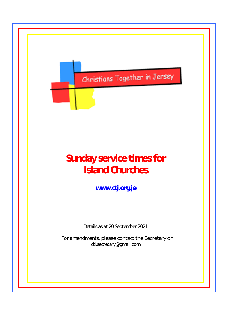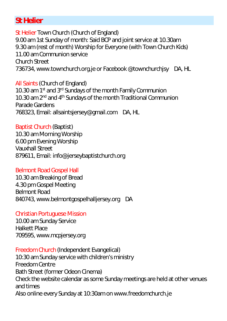# **St Helier**

St Helier Town Church (Church of England) 9.00 am 1st Sunday of month: Said BCP and joint service at 10.30am 9.30 am (rest of month) Worship for Everyone (with Town Church Kids) 11.00 am Communion service Church Street 736734, www.townchurch.org.je or Facebook @townchurchjsy DA, HL

All Saints (Church of England) 10.30 am 1<sup>st</sup> and 3<sup>rd</sup> Sundays of the month Family Communion 10.30 am 2<sup>nd</sup> and 4<sup>th</sup> Sundays of the month Traditional Communion Parade Gardens 768323, Email: allsaintsjersey@gmail.com DA, HL

Baptist Church (Baptist) 10.30 am Morning Worship 6.00 pm Evening Worship Vauxhall Street 879611, [Email: info@jerseybaptistchurch.org](mailto:info@jerseybaptistchurch.org) 

#### Belmont Road Gospel Hall

10.30 am Breaking of Bread 4.30 pm Gospel Meeting Belmont Road 840743, www.belmontgospelhalljersey.org DA

#### Christian Portuguese Mission

10.00 am Sunday Service Halkett Place 709595, [www.mcpjersey.org](http://www.mcpjersey.org/) 

Freedom Church (Independent Evangelical) 10:30 am Sunday service with children's ministry Freedom Centre Bath Street (former Odeon Cinema) Check the website calendar as some Sunday meetings are held at other venues and times Also online every Sunday at 10:30am on www.freedomchurch.je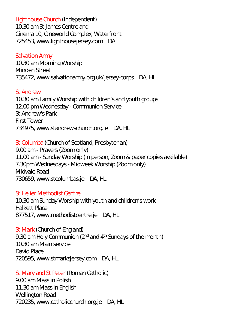Lighthouse Church (Independent) 10.30 am St James Centre and Cinema 10, Cineworld Complex, Waterfront 725453, [www.lighthousejersey.com](http://www.lighthousejersey.com/) DA

#### Salvation Army

10.30 am Morning Worship Minden Street 735472, [www.salvationarmy.org.uk/jersey-corps](http://www.salvationarmy.org.uk/jersey-corps) DA, HL

#### St Andrew

10.30 am Family Worship with children's and youth groups 12.00 pm Wednesday - Communion Service St Andrew's Park First Tower 734975, www.standrewschurch.org.je DA, HL

St Columba (Church of Scotland, Presbyterian) 9.00 am - Prayers (Zoom only) 11.00 am - Sunday Worship (in person, Zoom & paper copies available) 7.30pm Wednesdays - Midweek Worship (Zoom only) Midvale Road 730659, [www.stcolumbas.je](http://www.stcolumbas.je/) DA, HL

#### St Helier Methodist Centre

10.30 am Sunday Worship with youth and children's work Halkett Place 877517, [www.methodistcentre.je](http://www.methodistcentre.je/) DA, HL

St Mark (Church of England) 9.30 am Holy Communion (2<sup>nd</sup> and 4<sup>th</sup> Sundays of the month) 10.30 am Main service David Place 720595, [www.stmarksjersey.com](http://www.stmarksjersey.com/) DA, HL

St Mary and St Peter (Roman Catholic) 9.00 am Mass in Polish 11.30 am Mass in English Wellington Road 720235, [www.catholicchurch.org.je](http://www.catholicchurch.org.je/) DA, HL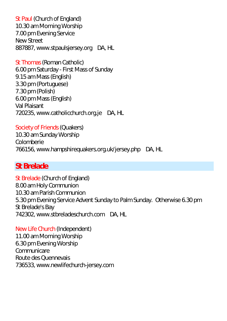St Paul (Church of England) 10.30 am Morning Worship 7.00 pm Evening Service New Street 887887, www.stpaulsjersey.org DA, HL

St Thomas (Roman Catholic) 6.00 pm Saturday - First Mass of Sunday 9.15 am Mass (English) 3.30 pm (Portuguese) 7.30 pm (Polish) 6.00 pm Mass (English) Val Plaisant 720235, www.catholicchurch.org.je DA, HL

Society of Friends (Quakers) 10.30 am Sunday Worship Colomberie 766156, www.hampshirequakers.org.uk/jersey.php DA, HL

# **St Brelade**

St Brelade (Church of England) 8.00 am Holy Communion 10.30 am Parish Communion 5.30 pm Evening Service Advent Sunday to Palm Sunday. Otherwise 6.30 pm St Brelade's Bay 742302, www.stbreladeschurch.com DA, HL

New Life Church (Independent) 11.00 am Morning Worship 6.30 pm Evening Worship Communicare Route des Quennevais 736533, www.newlifechurch-jersey.com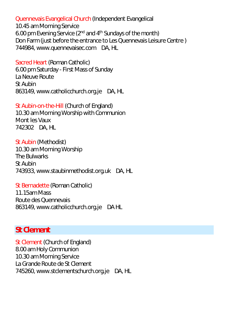Quennevais Evangelical Church (Independent Evangelical

10.45 am Morning Service 6.00 pm Evening Service ( $2^{nd}$  and  $4^{th}$  Sundays of the month) Don Farm (just before the entrance to Les Quennevais Leisure Centre ) 744984, [www.quennevaisec.com](http://www.quennevaisec.com/) DA, HL

Sacred Heart (Roman Catholic) 6.00 pm Saturday - First Mass of Sunday La Neuve Route St Aubin 863149, [www.catholicchurch.org.je](http://www.catholicchurch.org.je/) DA, HL

St Aubin-on-the-Hill (Church of England) 10.30 am Morning Worship with Communion Mont les Vaux 742302 DA, HL

St Aubin (Methodist) 10.30 am Morning Worship The Bulwarks St Aubin 743933, [www.staubinmethodist.org.uk](http://www.staubinmethodist.org.uk/) DA, HL

St Bernadette (Roman Catholic) 11.15am Mass Route des Quennevais 863149, [www.catholicchurch.org.je](http://www.catholicchurch.org.je/) DA HL

## **St Clement**

St Clement (Church of England) 8.00 am Holy Communion 10.30 am Morning Service La Grande Route de St Clement 745260, www.stclementschurch.org.je DA, HL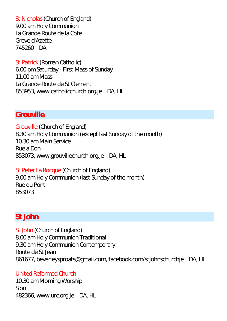St Nicholas (Church of England) 9.00 am Holy Communion La Grande Route de la Cote Greve d'Azette 745260 DA

St Patrick (Roman Catholic) 6.00 pm Saturday - First Mass of Sunday 11.00 am Mass La Grande Route de St Clement 853953, www.catholicchurch.org.je DA, HL

# **Grouville**

Grouville (Church of England) 8.30 am Holy Communion (except last Sunday of the month) 10.30 am Main Service Rue a Don 853073, www.grouvillechurch.org.je DA, HL

St Peter La Rocque (Church of England) 9.00 am Holy Communion (last Sunday of the month) Rue du Pont 853073

## **St John**

St John (Church of England) 8.00 am Holy Communion Traditional 9.30 am Holy Communion Contemporary Route de St Jean 861677, [beverleysproats@gmail.com,](mailto:beverleysproats@gmail.com) [facebook.com/stjohnschurchje](http://www.facebook.com/stjohnschurchje) DA, HL

#### United Reformed Church

10.30 am Morning Worship Sion 482366, [www.urc.org.je](http://www.urc.org.je/) DA, HL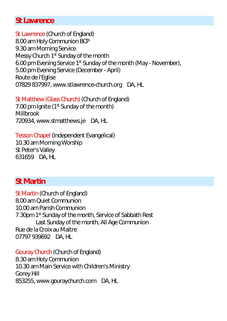### **St Lawrence**

St Lawrence (Church of England) 8.00 am Holy Communion BCP 9.30 am Morning Service Messy Church 1<sup>st</sup> Sunday of the month 6.00 pm Evening Service 1st Sunday of the month (May - November), 5.00 pm Evening Service (December - April) Route de l'Eglise 07829 837997[, www.stlawrence-church.org](http://www.stlawrence-church.org/) DA, HL

St Matthew (Glass Church) (Church of England) 7.00 pm Ignite (1<sup>st</sup> Sunday of the month) **Millbrook** 720934, www.stmatthews.je DA, HL

Tesson Chapel (Independent Evangelical) 10.30 am Morning Worship St Peter's Valley 631659 DA, HL

### **St Martin**

St Martin (Church of England) 8.00 am Quiet Communion 10.00 am Parish Communion 7.30pm 1<sup>st</sup> Sunday of the month, Service of Sabbath Rest Last Sunday of the month, All Age Communion Rue de la Croix au Maitre 07797 939692 DA, HL

Gouray Church (Church of England) 8.30 am Holy Communion 10.30 am Main Service with Children's Ministry Gorey Hill 853255, [www.gouraychurch.com](http://www.gouraychurch.com/) DA, HL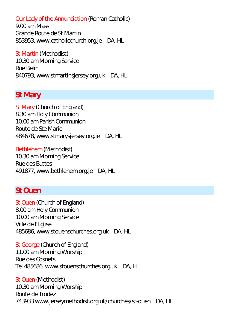Our Lady of the Annunciation (Roman Catholic)

9.00 am Mass Grande Route de St Martin 853953, www.catholicchurch.org.je DA, HL

St Martin (Methodist) 10.30 am Morning Service Rue Belin 840793, [www.stmartinsjersey.org.uk](http://www.stmartinsjersey.org.uk/) DA, HL

### **St Mary**

St Mary (Church of England) 8.30 am Holy Communion 10.00 am Parish Communion Route de Ste Marie 484678, [www.stmarysjersey.org.je](http://www.stmarysjersey.org.je/) DA, HL

Bethlehem (Methodist) 10.30 am Morning Service Rue des Buttes 491877, [www.bethlehem.org.je](http://www.bethlehem.org.je/) DA, HL

### **St Ouen**

St Ouen (Church of England) 8.00 am Holy Communion 10.00 am Morning Service Ville de l'Eglise 485686, www.stouenschurches.org.uk DA, HL

St George (Church of England) 11.00 am Morning Worship Rue des Cosnets Tel 485686, www.stouenschurches.org.uk DA, HL

St Ouen (Methodist) 10.30 am Morning Worship Route de Trodez 74393[3 www.jerseymethodist.org.uk/churches/st-ouen](http://www.jerseymethodist.org.uk/churches/st-ouen) DA, HL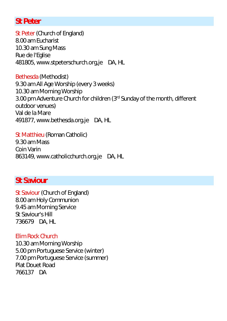### **St Peter**

St Peter (Church of England) 8.00 am Eucharist 10.30 am Sung Mass Rue de l'Eglise 481805, [www.stpeterschurch.org,je](http://www.stpeterschurch.org,je/) DA, HL

Bethesda (Methodist) 9.30 am All Age Worship (every 3 weeks) 10.30 am Morning Worship 3.00 pm Adventure Church for children (3rd Sunday of the month, different outdoor venues) Val de la Mare 491877, [www.bethesda.org.je](http://www.bethesda.org.je/) DA, HL

St Matthieu (Roman Catholic) 9.30 am Mass Coin Varin 863149, www.catholicchurch.org.je DA, HL

## **St Saviour**

St Saviour (Church of England) 8.00 am Holy Communion 9.45 am Morning Service St Saviour's Hill 736679 DA, HL

#### Elim Rock Church

10.30 am Morning Worship 5.00 pm Portuguese Service (winter) 7.00 pm Portuguese Service (summer) Plat Douet Road 766137 DA